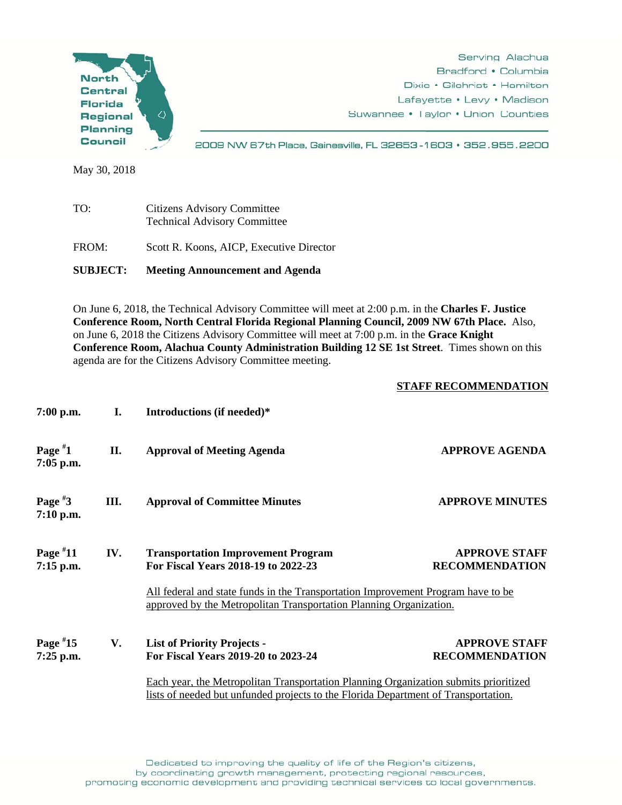

May 30, 2018

| <b>SUBJECT:</b> | <b>Meeting Announcement and Agenda</b>                                    |  |
|-----------------|---------------------------------------------------------------------------|--|
| FROM:           | Scott R. Koons, AICP, Executive Director                                  |  |
| TO:             | <b>Citizens Advisory Committee</b><br><b>Technical Advisory Committee</b> |  |

On June 6, 2018, the Technical Advisory Committee will meet at 2:00 p.m. in the **Charles F. Justice Conference Room, North Central Florida Regional Planning Council, 2009 NW 67th Place.** Also, on June 6, 2018 the Citizens Advisory Committee will meet at 7:00 p.m. in the **Grace Knight Conference Room, Alachua County Administration Building 12 SE 1st Street**. Times shown on this agenda are for the Citizens Advisory Committee meeting.

## **STAFF RECOMMENDATION**

| $7:00$ p.m.               | I.   | Introductions (if needed)*                                                                                                                                                                                                                              |                                               |
|---------------------------|------|---------------------------------------------------------------------------------------------------------------------------------------------------------------------------------------------------------------------------------------------------------|-----------------------------------------------|
| Page $*1$<br>$7:05$ p.m.  | II.  | <b>Approval of Meeting Agenda</b>                                                                                                                                                                                                                       | <b>APPROVE AGENDA</b>                         |
| Page $*3$<br>$7:10$ p.m.  | III. | <b>Approval of Committee Minutes</b>                                                                                                                                                                                                                    | <b>APPROVE MINUTES</b>                        |
| Page $*11$<br>$7:15$ p.m. | IV.  | <b>Transportation Improvement Program</b><br>For Fiscal Years 2018-19 to 2022-23<br>All federal and state funds in the Transportation Improvement Program have to be<br>approved by the Metropolitan Transportation Planning Organization.              | <b>APPROVE STAFF</b><br><b>RECOMMENDATION</b> |
| Page $*15$<br>$7:25$ p.m. | V.   | <b>List of Priority Projects -</b><br>For Fiscal Years 2019-20 to 2023-24<br>Each year, the Metropolitan Transportation Planning Organization submits prioritized<br>lists of needed but unfunded projects to the Florida Department of Transportation. | <b>APPROVE STAFF</b><br><b>RECOMMENDATION</b> |